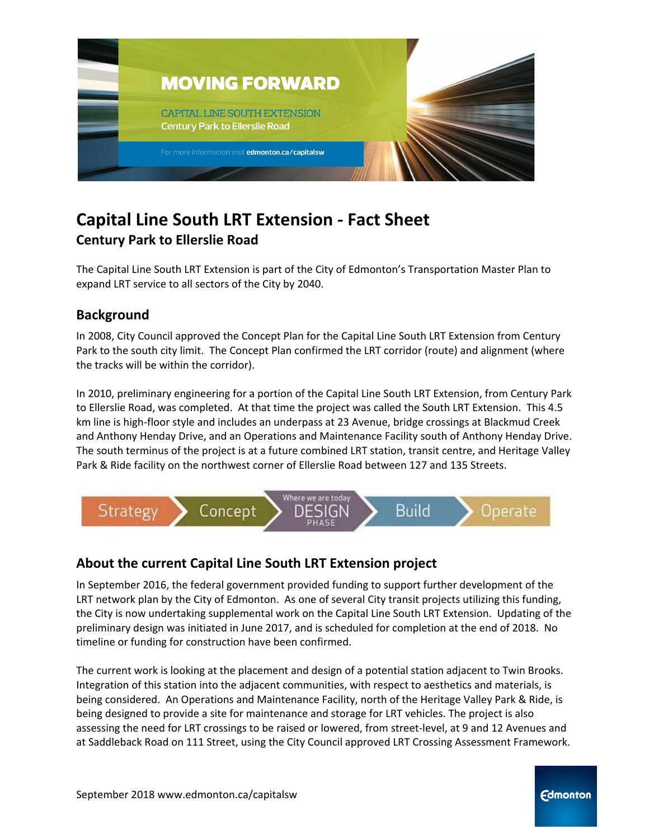

# **Capital Line South LRT Extension - Fact Sheet Century Park to Ellerslie Road**

The Capital Line South LRT Extension is part of the City of Edmonton's Transportation Master Plan to expand LRT service to all sectors of the City by 2040.

## **Background**

In 2008, City Council approved the Concept Plan for the Capital Line South LRT Extension from Century Park to the south city limit. The Concept Plan confirmed the LRT corridor (route) and alignment (where the tracks will be within the corridor).

In 2010, preliminary engineering for a portion of the Capital Line South LRT Extension, from Century Park to Ellerslie Road, was completed. At that time the project was called the South LRT Extension. This 4.5 km line is high-floor style and includes an underpass at 23 Avenue, bridge crossings at Blackmud Creek and Anthony Henday Drive, and an Operations and Maintenance Facility south of Anthony Henday Drive. The south terminus of the project is at a future combined LRT station, transit centre, and Heritage Valley Park & Ride facility on the northwest corner of Ellerslie Road between 127 and 135 Streets.



## **About the current Capital Line South LRT Extension project**

In September 2016, the federal government provided funding to support further development of the LRT network plan by the City of Edmonton. As one of several City transit projects utilizing this funding, the City is now undertaking supplemental work on the Capital Line South LRT Extension. Updating of the preliminary design was initiated in June 2017, and is scheduled for completion at the end of 2018. No timeline or funding for construction have been confirmed.

The current work is looking at the placement and design of a potential station adjacent to Twin Brooks. Integration of this station into the adjacent communities, with respect to aesthetics and materials, is being considered. An Operations and Maintenance Facility, north of the Heritage Valley Park & Ride, is being designed to provide a site for maintenance and storage for LRT vehicles. The project is also assessing the need for LRT crossings to be raised or lowered, from street-level, at 9 and 12 Avenues and at Saddleback Road on 111 Street, using the City Council approved LRT Crossing Assessment Framework.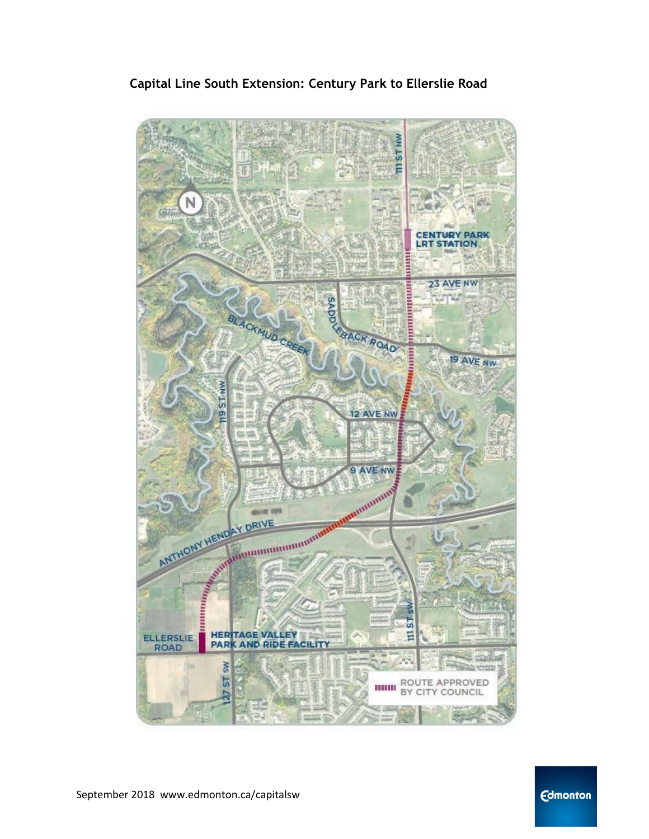**Capital Line South Extension: Century Park to Ellerslie Road**



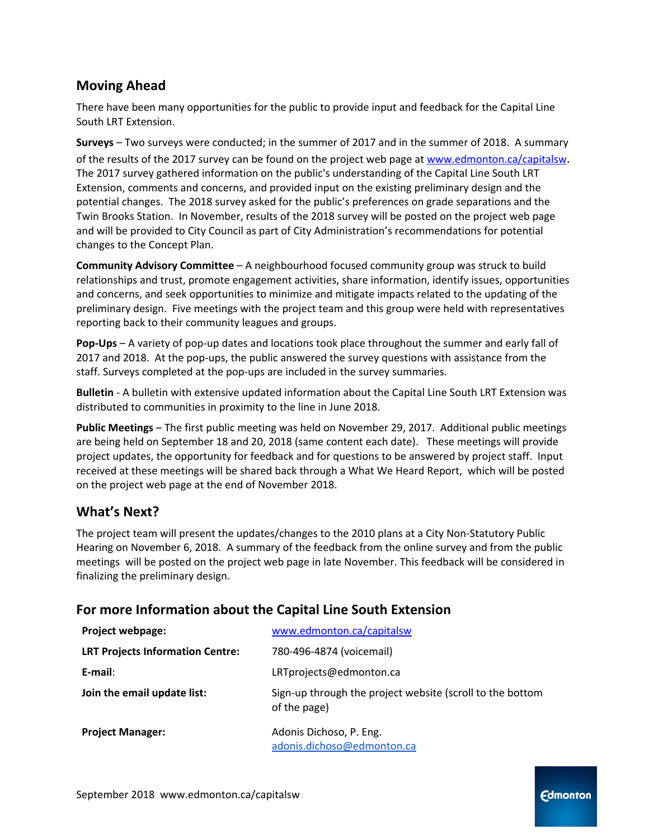## **Moving Ahead**

There have been many opportunities for the public to provide input and feedback for the Capital Line South LRT Extension.

**Surveys** – Two surveys were conducted; in the summer of 2017 and in the summer of 2018. A summary of the results of the 2017 survey can be found on the project web page at [www.edmonton.ca/capitalsw](http://www.edmonton.ca/capitalsw). The 2017 survey gathered information on the public's understanding of the Capital Line South LRT Extension, comments and concerns, and provided input on the existing preliminary design and the potential changes. The 2018 survey asked for the public's preferences on grade separations and the Twin Brooks Station. In November, results of the 2018 survey will be posted on the project web page and will be provided to City Council as part of City Administration's recommendations for potential changes to the Concept Plan.

**Community Advisory Committee** – A neighbourhood focused community group was struck to build relationships and trust, promote engagement activities, share information, identify issues, opportunities and concerns, and seek opportunities to minimize and mitigate impacts related to the updating of the preliminary design. Five meetings with the project team and this group were held with representatives reporting back to their community leagues and groups.

**Pop-Ups** – A variety of pop-up dates and locations took place throughout the summer and early fall of 2017 and 2018. At the pop-ups, the public answered the survey questions with assistance from the staff. Surveys completed at the pop-ups are included in the survey summaries.

**Bulletin** - A bulletin with extensive updated information about the Capital Line South LRT Extension was distributed to communities in proximity to the line in June 2018.

**Public Meetings** – The first public meeting was held on November 29, 2017. Additional public meetings are being held on September 18 and 20, 2018 (same content each date). These meetings will provide project updates, the opportunity for feedback and for questions to be answered by project staff. Input received at these meetings will be shared back through a What We Heard Report, which will be posted on the project web page at the end of November 2018.

## **What's Next?**

The project team will present the updates/changes to the 2010 plans at a City Non-Statutory Public Hearing on November 6, 2018. A summary of the feedback from the online survey and from the public meetings will be posted on the project web page in late November. This feedback will be considered in finalizing the preliminary design.

### **For more Information about the Capital Line South Extension**

| Project webpage:                        | www.edmonton.ca/capitalsw                                                 |
|-----------------------------------------|---------------------------------------------------------------------------|
| <b>LRT Projects Information Centre:</b> | 780-496-4874 (voicemail)                                                  |
| $E$ -mail:                              | LRTprojects@edmonton.ca                                                   |
| Join the email update list:             | Sign-up through the project website (scroll to the bottom<br>of the page) |
| <b>Project Manager:</b>                 | Adonis Dichoso, P. Eng.                                                   |
|                                         | adonis.dichoso@edmonton.ca                                                |